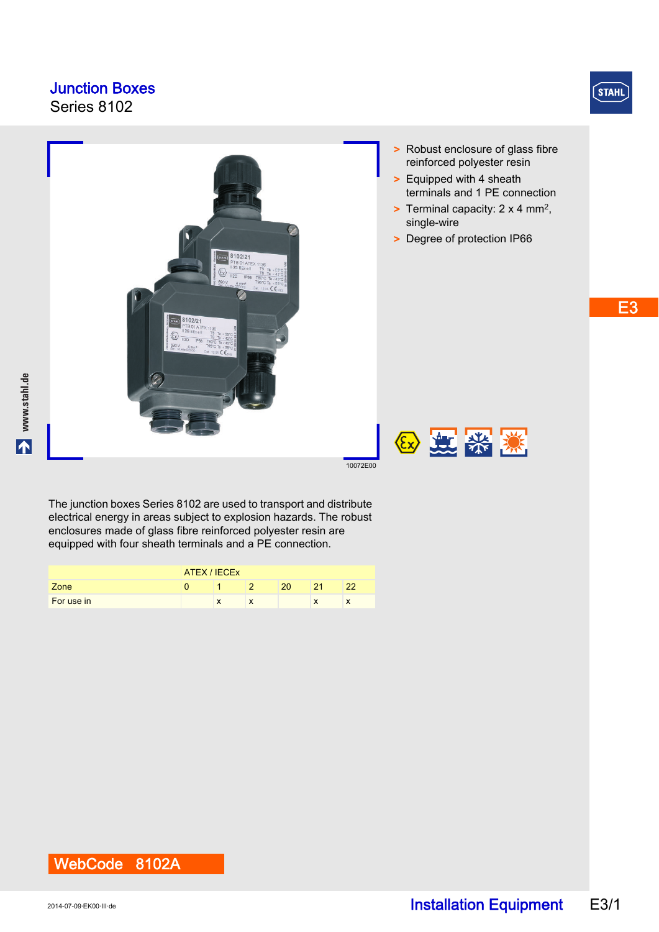### Junction Boxes

Series 8102



- > Robust enclosure of glass fibre reinforced polyester resin
- > Equipped with 4 sheath terminals and 1 PE connection
- > Terminal capacity: 2 x 4 mm2, single-wire
- > Degree of protection IP66



The junction boxes Series 8102 are used to transport and distribute electrical energy in areas subject to explosion hazards. The robust enclosures made of glass fibre reinforced polyester resin are equipped with four sheath terminals and a PE connection.

|            | ATEX / IECEX |           |           |    |    |     |  |
|------------|--------------|-----------|-----------|----|----|-----|--|
| Zone       |              |           |           | 20 | 21 | OC. |  |
| For use in |              | $\lambda$ | $\lambda$ |    |    |     |  |

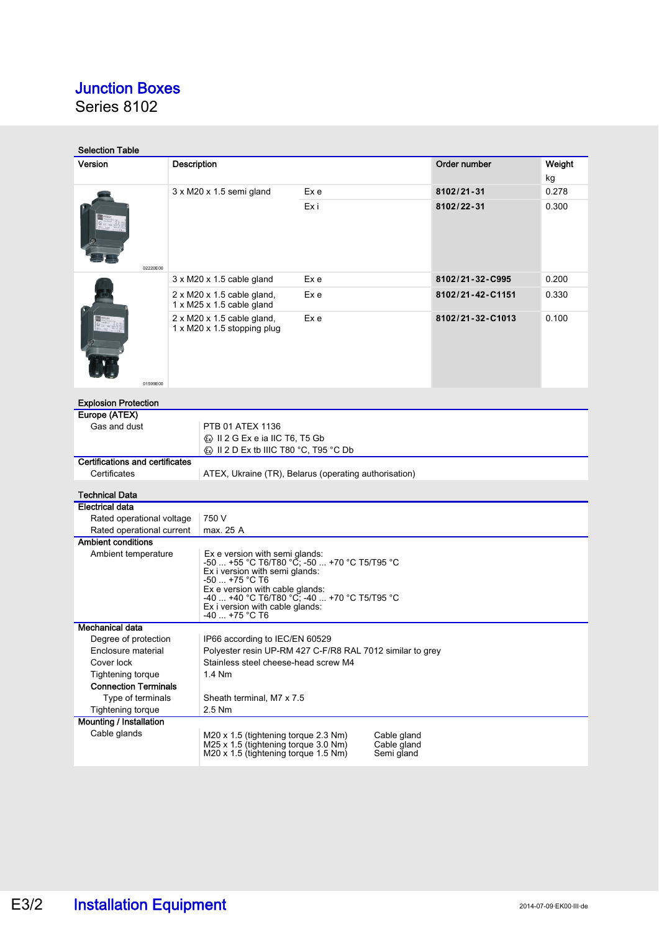## Junction Boxes

Series 8102

| <b>Selection Table</b>                                                     |                                                                                                           |                                                                                                                                                                                                                                                                             |      |  |                  |              |  |  |
|----------------------------------------------------------------------------|-----------------------------------------------------------------------------------------------------------|-----------------------------------------------------------------------------------------------------------------------------------------------------------------------------------------------------------------------------------------------------------------------------|------|--|------------------|--------------|--|--|
| Version                                                                    | Description                                                                                               |                                                                                                                                                                                                                                                                             |      |  | Order number     | Weight<br>kg |  |  |
| 02220E00                                                                   |                                                                                                           |                                                                                                                                                                                                                                                                             | Ex e |  | 8102/21-31       | 0.278        |  |  |
|                                                                            |                                                                                                           | 3 x M20 x 1.5 semi gland                                                                                                                                                                                                                                                    | Exi  |  | 8102/22-31       | 0.300        |  |  |
|                                                                            |                                                                                                           | $3 \times M20 \times 1.5$ cable gland                                                                                                                                                                                                                                       | Ex e |  | 8102/21-32-C995  | 0.200        |  |  |
|                                                                            | $2 \times M20 \times 1.5$ cable gland,                                                                    |                                                                                                                                                                                                                                                                             | Ex e |  | 8102/21-42-C1151 | 0.330        |  |  |
|                                                                            |                                                                                                           | 1 x M25 x 1.5 cable gland                                                                                                                                                                                                                                                   |      |  |                  |              |  |  |
| 01599E00                                                                   |                                                                                                           | $2 \times M20 \times 1.5$ cable gland,<br>1 x M20 x 1.5 stopping plug                                                                                                                                                                                                       | Ex e |  | 8102/21-32-C1013 | 0.100        |  |  |
| <b>Explosion Protection</b>                                                |                                                                                                           |                                                                                                                                                                                                                                                                             |      |  |                  |              |  |  |
| Europe (ATEX)<br>Gas and dust                                              |                                                                                                           | PTB 01 ATEX 1136                                                                                                                                                                                                                                                            |      |  |                  |              |  |  |
|                                                                            |                                                                                                           | Ex II 2 G Ex e ia IIC T6, T5 Gb                                                                                                                                                                                                                                             |      |  |                  |              |  |  |
|                                                                            |                                                                                                           |                                                                                                                                                                                                                                                                             |      |  |                  |              |  |  |
| <b>Certifications and certificates</b>                                     |                                                                                                           |                                                                                                                                                                                                                                                                             |      |  |                  |              |  |  |
| Certificates                                                               |                                                                                                           | ATEX, Ukraine (TR), Belarus (operating authorisation)                                                                                                                                                                                                                       |      |  |                  |              |  |  |
|                                                                            |                                                                                                           |                                                                                                                                                                                                                                                                             |      |  |                  |              |  |  |
| <b>Technical Data</b><br><b>Electrical data</b>                            |                                                                                                           |                                                                                                                                                                                                                                                                             |      |  |                  |              |  |  |
|                                                                            | 750 V                                                                                                     |                                                                                                                                                                                                                                                                             |      |  |                  |              |  |  |
| Rated operational voltage<br>Rated operational current                     |                                                                                                           | max. 25 A                                                                                                                                                                                                                                                                   |      |  |                  |              |  |  |
| <b>Ambient conditions</b>                                                  |                                                                                                           |                                                                                                                                                                                                                                                                             |      |  |                  |              |  |  |
| Ambient temperature                                                        |                                                                                                           | Ex e version with semi glands:<br>-50  +55 °С Т6/Т80 °Č; -50  +70 °С Т5/Т95 °С<br>Ex i version with semi glands:<br>$-50$ +75 °C T6<br>Ex e version with cable glands:<br>-40  +40 °C T6/T80 °C, -40  +70 °C T5/T95 °C<br>Ex i version with cable glands:<br>-40  +75 °C T6 |      |  |                  |              |  |  |
| Mechanical data                                                            |                                                                                                           |                                                                                                                                                                                                                                                                             |      |  |                  |              |  |  |
| Degree of protection<br>IP66 according to IEC/EN 60529                     |                                                                                                           |                                                                                                                                                                                                                                                                             |      |  |                  |              |  |  |
| Enclosure material                                                         | Polyester resin UP-RM 427 C-F/R8 RAL 7012 similar to grey                                                 |                                                                                                                                                                                                                                                                             |      |  |                  |              |  |  |
| Stainless steel cheese-head screw M4<br>Cover lock                         |                                                                                                           |                                                                                                                                                                                                                                                                             |      |  |                  |              |  |  |
| <b>Tightening torque</b>                                                   | 1.4 Nm                                                                                                    |                                                                                                                                                                                                                                                                             |      |  |                  |              |  |  |
|                                                                            | <b>Connection Terminals</b>                                                                               |                                                                                                                                                                                                                                                                             |      |  |                  |              |  |  |
| Type of terminals<br>Sheath terminal, M7 x 7.5<br><b>Tightening torque</b> |                                                                                                           |                                                                                                                                                                                                                                                                             |      |  |                  |              |  |  |
| 2.5 Nm<br>Mounting / Installation                                          |                                                                                                           |                                                                                                                                                                                                                                                                             |      |  |                  |              |  |  |
| Cable glands<br>M20 x 1.5 (tightening torque 2.3 Nm)<br>Cable gland        |                                                                                                           |                                                                                                                                                                                                                                                                             |      |  |                  |              |  |  |
|                                                                            | M25 x 1.5 (tightening torque 3.0 Nm)<br>Cable gland<br>M20 x 1.5 (tightening torque 1.5 Nm)<br>Semi gland |                                                                                                                                                                                                                                                                             |      |  |                  |              |  |  |